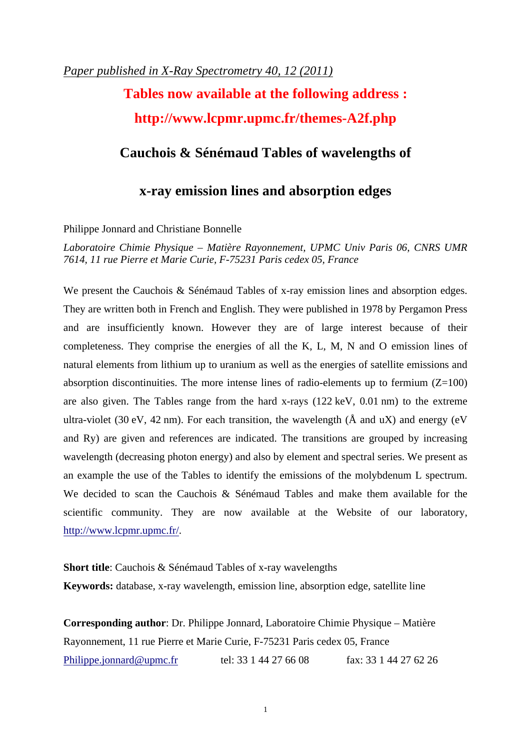# *Paper published in X-Ray Spectrometry 40, 12 (2011)*

# **Tables now available at the following address : http://www.lcpmr.upmc.fr/themes-A2f.php**

# **Cauchois & Sénémaud Tables of wavelengths of**

# **x-ray emission lines and absorption edges**

## Philippe Jonnard and Christiane Bonnelle

*Laboratoire Chimie Physique – Matière Rayonnement, UPMC Univ Paris 06, CNRS UMR 7614, 11 rue Pierre et Marie Curie, F-75231 Paris cedex 05, France*

We present the Cauchois & Sénémaud Tables of x-ray emission lines and absorption edges. They are written both in French and English. They were published in 1978 by Pergamon Press and are insufficiently known. However they are of large interest because of their completeness. They comprise the energies of all the K, L, M, N and O emission lines of natural elements from lithium up to uranium as well as the energies of satellite emissions and absorption discontinuities. The more intense lines of radio-elements up to fermium  $(Z=100)$ are also given. The Tables range from the hard x-rays (122 keV, 0.01 nm) to the extreme ultra-violet (30 eV, 42 nm). For each transition, the wavelength ( $\AA$  and  $uX$ ) and energy (eV and Ry) are given and references are indicated. The transitions are grouped by increasing wavelength (decreasing photon energy) and also by element and spectral series. We present as an example the use of the Tables to identify the emissions of the molybdenum L spectrum. We decided to scan the Cauchois & Sénémaud Tables and make them available for the scientific community. They are now available at the Website of our laboratory, http://www.lcpmr.upmc.fr/.

**Short title**: Cauchois & Sénémaud Tables of x-ray wavelengths **Keywords:** database, x-ray wavelength, emission line, absorption edge, satellite line

**Corresponding author**: Dr. Philippe Jonnard, Laboratoire Chimie Physique – Matière Rayonnement, 11 rue Pierre et Marie Curie, F-75231 Paris cedex 05, France Philippe.jonnard@upmc.fr tel: 33 1 44 27 66 08 fax: 33 1 44 27 62 26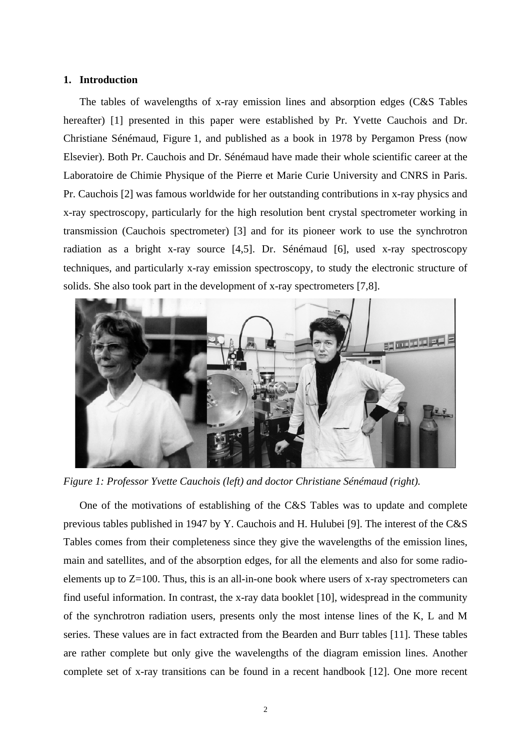### **1. Introduction**

The tables of wavelengths of x-ray emission lines and absorption edges (C&S Tables hereafter) [1] presented in this paper were established by Pr. Yvette Cauchois and Dr. Christiane Sénémaud, Figure 1, and published as a book in 1978 by Pergamon Press (now Elsevier). Both Pr. Cauchois and Dr. Sénémaud have made their whole scientific career at the Laboratoire de Chimie Physique of the Pierre et Marie Curie University and CNRS in Paris. Pr. Cauchois [2] was famous worldwide for her outstanding contributions in x-ray physics and x-ray spectroscopy, particularly for the high resolution bent crystal spectrometer working in transmission (Cauchois spectrometer) [3] and for its pioneer work to use the synchrotron radiation as a bright x-ray source [4,5]. Dr. Sénémaud [6], used x-ray spectroscopy techniques, and particularly x-ray emission spectroscopy, to study the electronic structure of solids. She also took part in the development of x-ray spectrometers [7,8].



*Figure 1: Professor Yvette Cauchois (left) and doctor Christiane Sénémaud (right).*

One of the motivations of establishing of the C&S Tables was to update and complete previous tables published in 1947 by Y. Cauchois and H. Hulubei [9]. The interest of the C&S Tables comes from their completeness since they give the wavelengths of the emission lines, main and satellites, and of the absorption edges, for all the elements and also for some radioelements up to  $Z=100$ . Thus, this is an all-in-one book where users of x-ray spectrometers can find useful information. In contrast, the x-ray data booklet [10], widespread in the community of the synchrotron radiation users, presents only the most intense lines of the K, L and M series. These values are in fact extracted from the Bearden and Burr tables [11]. These tables are rather complete but only give the wavelengths of the diagram emission lines. Another complete set of x-ray transitions can be found in a recent handbook [12]. One more recent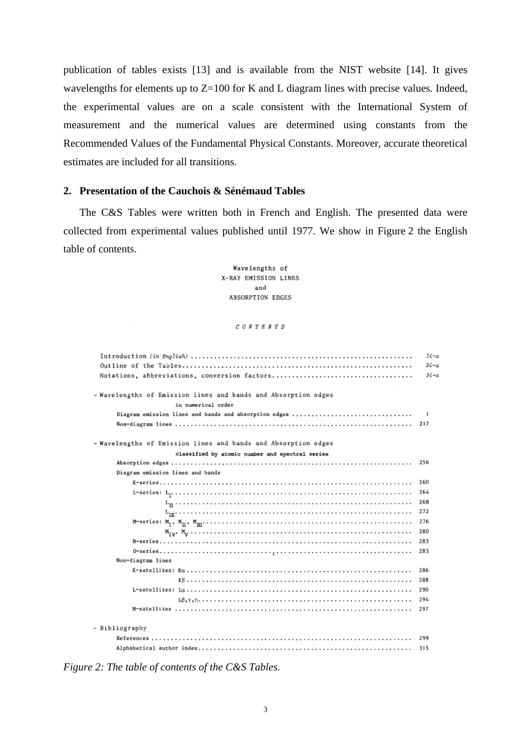publication of tables exists [13] and is available from the NIST website [14]. It gives wavelengths for elements up to  $Z=100$  for K and L diagram lines with precise values. Indeed, the experimental values are on a scale consistent with the International System of measurement and the numerical values are determined using constants from the Recommended Values of the Fundamental Physical Constants. Moreover, accurate theoretical estimates are included for all transitions.

## **2. Presentation of the Cauchois & Sénémaud Tables**

The C&S Tables were written both in French and English. The presented data were collected from experimental values published until 1977. We show in Figure 2 the English table of contents.

> Wavelengths of X-RAY EMISSION LINES and ABSORPTION EDGES

> > $C \; O \; H \; T \; E \; H \; T \; S$

|                                                                | $1i-a$<br>$2i-a$<br>$3i-a$ |
|----------------------------------------------------------------|----------------------------|
| - Wavelengths of Emission lines and bands and Absorption edges |                            |
| in numerical order                                             |                            |
| Diagram emission lines and bands and absorption edges          | -1                         |
|                                                                | 217                        |
| - Wavelengths of Emission lines and bands and Absorption edges |                            |
| classified by atomic number and spectral series                |                            |
|                                                                | 256                        |
| Diagram emission lines and bands                               |                            |
|                                                                | 260                        |
|                                                                | 264                        |
|                                                                | 268                        |
|                                                                | 272                        |
|                                                                | 276                        |
|                                                                | 280                        |
|                                                                | 283                        |
|                                                                | 283                        |
| Non-diagram lines                                              |                            |
|                                                                | 286                        |
|                                                                | 288                        |
|                                                                | 290                        |
|                                                                | 294                        |
|                                                                | 297                        |
| - Bibliography                                                 |                            |
|                                                                | 299                        |
|                                                                | 315                        |

*Figure 2: The table of contents of the C&S Tables.*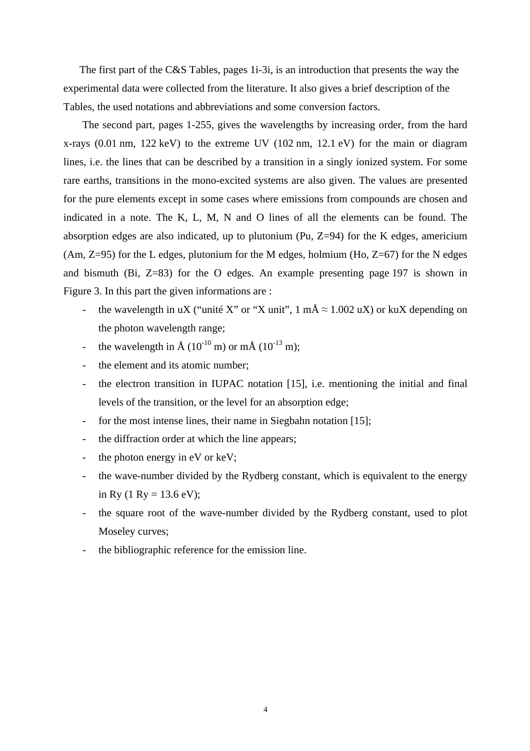The first part of the C&S Tables, pages 1i-3i, is an introduction that presents the way the experimental data were collected from the literature. It also gives a brief description of the Tables, the used notations and abbreviations and some conversion factors.

The second part, pages 1-255, gives the wavelengths by increasing order, from the hard x-rays (0.01 nm, 122 keV) to the extreme UV (102 nm, 12.1 eV) for the main or diagram lines, i.e. the lines that can be described by a transition in a singly ionized system. For some rare earths, transitions in the mono-excited systems are also given. The values are presented for the pure elements except in some cases where emissions from compounds are chosen and indicated in a note. The K, L, M, N and O lines of all the elements can be found. The absorption edges are also indicated, up to plutonium (Pu, Z=94) for the K edges, americium  $(Am, Z=95)$  for the L edges, plutonium for the M edges, holmium  $(Ho, Z=67)$  for the N edges and bismuth (Bi, Z=83) for the O edges. An example presenting page 197 is shown in Figure 3. In this part the given informations are :

- the wavelength in uX ("unité X" or "X unit", 1 mÅ  $\approx 1.002$  uX) or kuX depending on the photon wavelength range;
- the wavelength in  $\rm \AA$  (10<sup>-10</sup> m) or m $\rm \AA$  (10<sup>-13</sup> m);
- the element and its atomic number;
- the electron transition in IUPAC notation [15], i.e. mentioning the initial and final levels of the transition, or the level for an absorption edge;
- for the most intense lines, their name in Siegbahn notation [15];
- the diffraction order at which the line appears;
- the photon energy in  $eV$  or  $keV$ ;
- the wave-number divided by the Rydberg constant, which is equivalent to the energy in Ry (1 Ry = 13.6 eV);
- the square root of the wave-number divided by the Rydberg constant, used to plot Moseley curves;
- the bibliographic reference for the emission line.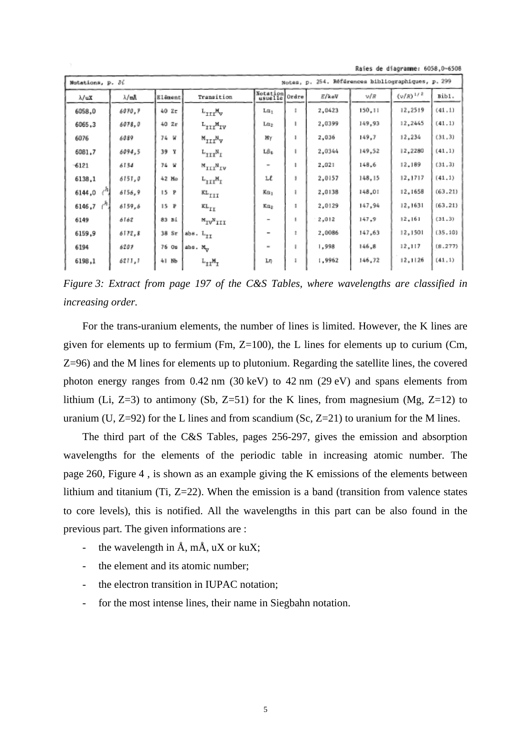|  | Raies de diagramme: 6058,0-6508 |
|--|---------------------------------|
|  |                                 |

| Bibl.    |
|----------|
|          |
| (41.1)   |
| (41.1)   |
| (31.3)   |
| (41.1)   |
| (31.3)   |
| (41.1)   |
| (63, 21) |
| (63, 21) |
| (31.3)   |
| (35, 10) |
| (8.277)  |
| (41.1)   |
|          |

*Figure 3: Extract from page 197 of the C&S Tables, where wavelengths are classified in increasing order.*

For the trans-uranium elements, the number of lines is limited. However, the K lines are given for elements up to fermium (Fm,  $Z=100$ ), the L lines for elements up to curium (Cm, Z=96) and the M lines for elements up to plutonium. Regarding the satellite lines, the covered photon energy ranges from 0.42 nm (30 keV) to 42 nm (29 eV) and spans elements from lithium (Li, Z=3) to antimony (Sb, Z=51) for the K lines, from magnesium (Mg, Z=12) to uranium (U,  $Z=92$ ) for the L lines and from scandium (Sc,  $Z=21$ ) to uranium for the M lines.

The third part of the C&S Tables, pages 256-297, gives the emission and absorption wavelengths for the elements of the periodic table in increasing atomic number. The page 260, Figure 4 , is shown as an example giving the K emissions of the elements between lithium and titanium (Ti,  $Z=22$ ). When the emission is a band (transition from valence states to core levels), this is notified. All the wavelengths in this part can be also found in the previous part. The given informations are :

- the wavelength in  $\AA$ ,  $m\AA$ ,  $uX$  or kuX;
- the element and its atomic number;
- the electron transition in IUPAC notation;
- for the most intense lines, their name in Siegbahn notation.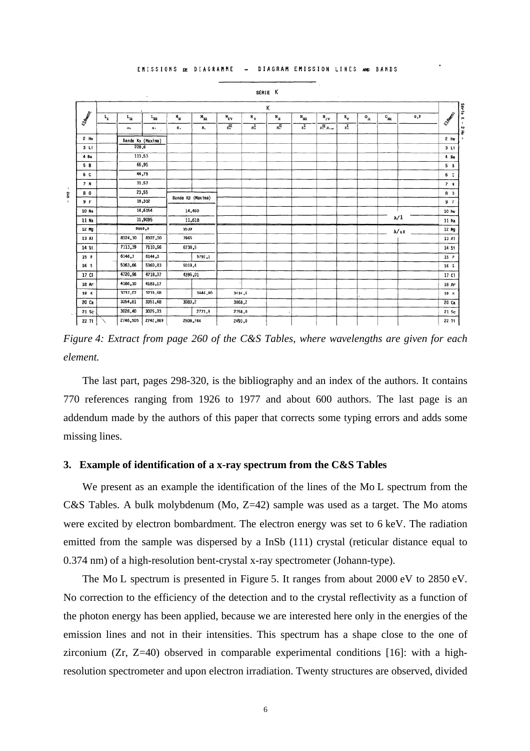

EMISSIONS DE DIAGRAMME DIAGRAM EMISSION LINES AND RANDS

*Figure 4: Extract from page 260 of the C&S Tables, where wavelengths are given for each element.*

The last part, pages 298-320, is the bibliography and an index of the authors. It contains 770 references ranging from 1926 to 1977 and about 600 authors. The last page is an addendum made by the authors of this paper that corrects some typing errors and adds some missing lines.

#### **3. Example of identification of a x-ray spectrum from the C&S Tables**

We present as an example the identification of the lines of the Mo L spectrum from the C&S Tables. A bulk molybdenum (Mo, Z=42) sample was used as a target. The Mo atoms were excited by electron bombardment. The electron energy was set to 6 keV. The radiation emitted from the sample was dispersed by a InSb (111) crystal (reticular distance equal to 0.374 nm) of a high-resolution bent-crystal x-ray spectrometer (Johann-type).

The Mo L spectrum is presented in Figure 5. It ranges from about 2000 eV to 2850 eV. No correction to the efficiency of the detection and to the crystal reflectivity as a function of the photon energy has been applied, because we are interested here only in the energies of the emission lines and not in their intensities. This spectrum has a shape close to the one of zirconium (Zr, Z=40) observed in comparable experimental conditions [16]: with a highresolution spectrometer and upon electron irradiation. Twenty structures are observed, divided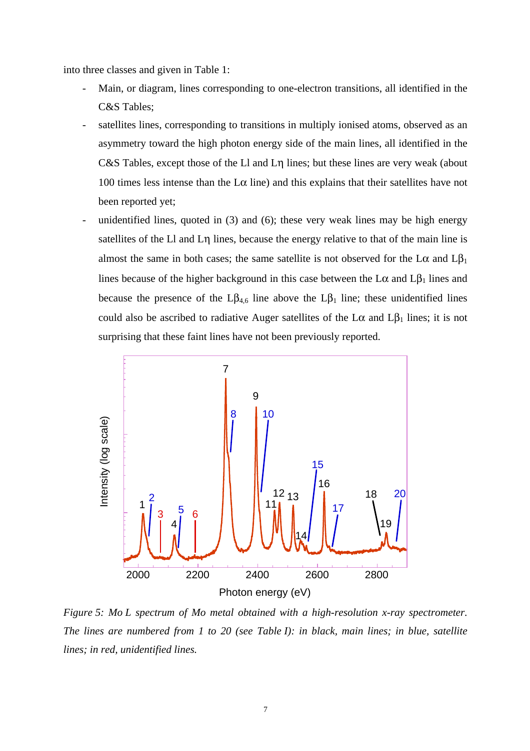into three classes and given in Table 1:

- Main, or diagram, lines corresponding to one-electron transitions, all identified in the C&S Tables;
- satellites lines, corresponding to transitions in multiply ionised atoms, observed as an asymmetry toward the high photon energy side of the main lines, all identified in the C&S Tables, except those of the Ll and Lη lines; but these lines are very weak (about 100 times less intense than the  $L\alpha$  line) and this explains that their satellites have not been reported yet;
- unidentified lines, quoted in  $(3)$  and  $(6)$ ; these very weak lines may be high energy satellites of the Ll and Lη lines, because the energy relative to that of the main line is almost the same in both cases; the same satellite is not observed for the  $L\alpha$  and  $L\beta_1$ lines because of the higher background in this case between the  $L\alpha$  and  $L\beta_1$  lines and because the presence of the  $L\beta_{4,6}$  line above the  $L\beta_1$  line; these unidentified lines could also be ascribed to radiative Auger satellites of the  $L\alpha$  and  $L\beta_1$  lines; it is not surprising that these faint lines have not been previously reported.



*Figure 5: Mo L spectrum of Mo metal obtained with a high-resolution x-ray spectrometer. The lines are numbered from 1 to 20 (see Table I): in black, main lines; in blue, satellite lines; in red, unidentified lines.*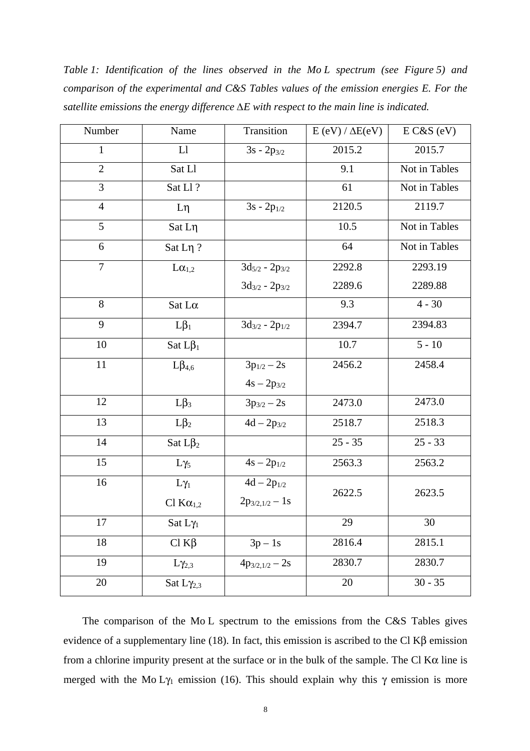*Table 1: Identification of the lines observed in the Mo L spectrum (see Figure 5) and comparison of the experimental and C&S Tables values of the emission energies E. For the satellite emissions the energy difference ∆E with respect to the main line is indicated.*

| Number         | Name                   | Transition            | $E (eV) / \Delta E (eV)$ | $E C&S$ (eV)  |
|----------------|------------------------|-----------------------|--------------------------|---------------|
| $\mathbf{1}$   | L1                     | $3s - 2p_{3/2}$       | 2015.2                   | 2015.7        |
| $\overline{2}$ | Sat Ll                 |                       | 9.1                      | Not in Tables |
| $\overline{3}$ | Sat Ll?                |                       | 61                       | Not in Tables |
| $\overline{4}$ | $L\eta$                | $3s - 2p_{1/2}$       | 2120.5                   | 2119.7        |
| 5              | $Sat$ $L\eta$          |                       | 10.5                     | Not in Tables |
| 6              | Sat Lη?                |                       | 64                       | Not in Tables |
| $\overline{7}$ | $L\alpha_{1,2}$        | $3d_{5/2} - 2p_{3/2}$ | 2292.8                   | 2293.19       |
|                |                        | $3d_{3/2} - 2p_{3/2}$ | 2289.6                   | 2289.88       |
| 8              | Sat L $\alpha$         |                       | 9.3                      | $4 - 30$      |
| 9              | $L\beta_1$             | $3d_{3/2} - 2p_{1/2}$ | 2394.7                   | 2394.83       |
| 10             | Sat $L\beta_1$         |                       | 10.7                     | $5 - 10$      |
| $11\,$         | $L\beta_{4,6}$         | $3p_{1/2} - 2s$       | 2456.2                   | 2458.4        |
|                |                        | $4s - 2p_{3/2}$       |                          |               |
| 12             | $L\beta_3$             | $3p_{3/2} - 2s$       | 2473.0                   | 2473.0        |
| 13             | $L\beta_2$             | $4d - 2p_{3/2}$       | 2518.7                   | 2518.3        |
| 14             | Sat $L\beta_2$         |                       | $25 - 35$                | $25 - 33$     |
| 15             | $L\gamma_5$            | $4s-2p_{1/2}$         | 2563.3                   | 2563.2        |
| 16             | $L\gamma_1$            | $4d - 2p_{1/2}$       | 2622.5                   | 2623.5        |
|                | Cl $K\alpha_{1,2}$     | $2p_{3/2,1/2} - 1s$   |                          |               |
| 17             | Sat $L\gamma_1$        |                       | 29                       | 30            |
| 18             | $Cl K\beta$            | $3p-1s$               | 2816.4                   | 2815.1        |
| 19             | $L_{\gamma_{2,3}}$     | $4p_{3/2,1/2}-2s$     | 2830.7                   | 2830.7        |
| 20             | Sat $L_{\gamma_{2,3}}$ |                       | 20                       | $30 - 35$     |
|                |                        |                       |                          |               |

The comparison of the Mo L spectrum to the emissions from the C&S Tables gives evidence of a supplementary line (18). In fact, this emission is ascribed to the Cl K $\beta$  emission from a chlorine impurity present at the surface or in the bulk of the sample. The Cl K $\alpha$  line is merged with the Mo L $\gamma_1$  emission (16). This should explain why this  $\gamma$  emission is more